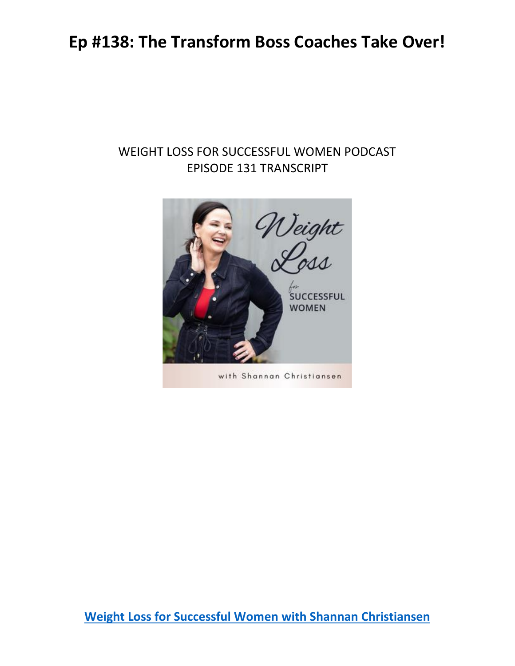#### WEIGHT LOSS FOR SUCCESSFUL WOMEN PODCAST EPISODE 131 TRANSCRIPT

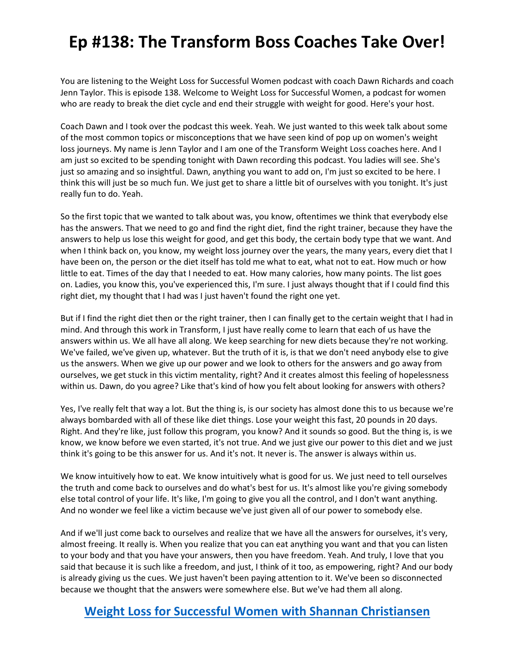You are listening to the Weight Loss for Successful Women podcast with coach Dawn Richards and coach Jenn Taylor. This is episode 138. Welcome to Weight Loss for Successful Women, a podcast for women who are ready to break the diet cycle and end their struggle with weight for good. Here's your host.

Coach Dawn and I took over the podcast this week. Yeah. We just wanted to this week talk about some of the most common topics or misconceptions that we have seen kind of pop up on women's weight loss journeys. My name is Jenn Taylor and I am one of the Transform Weight Loss coaches here. And I am just so excited to be spending tonight with Dawn recording this podcast. You ladies will see. She's just so amazing and so insightful. Dawn, anything you want to add on, I'm just so excited to be here. I think this will just be so much fun. We just get to share a little bit of ourselves with you tonight. It's just really fun to do. Yeah.

So the first topic that we wanted to talk about was, you know, oftentimes we think that everybody else has the answers. That we need to go and find the right diet, find the right trainer, because they have the answers to help us lose this weight for good, and get this body, the certain body type that we want. And when I think back on, you know, my weight loss journey over the years, the many years, every diet that I have been on, the person or the diet itself has told me what to eat, what not to eat. How much or how little to eat. Times of the day that I needed to eat. How many calories, how many points. The list goes on. Ladies, you know this, you've experienced this, I'm sure. I just always thought that if I could find this right diet, my thought that I had was I just haven't found the right one yet.

But if I find the right diet then or the right trainer, then I can finally get to the certain weight that I had in mind. And through this work in Transform, I just have really come to learn that each of us have the answers within us. We all have all along. We keep searching for new diets because they're not working. We've failed, we've given up, whatever. But the truth of it is, is that we don't need anybody else to give us the answers. When we give up our power and we look to others for the answers and go away from ourselves, we get stuck in this victim mentality, right? And it creates almost this feeling of hopelessness within us. Dawn, do you agree? Like that's kind of how you felt about looking for answers with others?

Yes, I've really felt that way a lot. But the thing is, is our society has almost done this to us because we're always bombarded with all of these like diet things. Lose your weight this fast, 20 pounds in 20 days. Right. And they're like, just follow this program, you know? And it sounds so good. But the thing is, is we know, we know before we even started, it's not true. And we just give our power to this diet and we just think it's going to be this answer for us. And it's not. It never is. The answer is always within us.

We know intuitively how to eat. We know intuitively what is good for us. We just need to tell ourselves the truth and come back to ourselves and do what's best for us. It's almost like you're giving somebody else total control of your life. It's like, I'm going to give you all the control, and I don't want anything. And no wonder we feel like a victim because we've just given all of our power to somebody else.

And if we'll just come back to ourselves and realize that we have all the answers for ourselves, it's very, almost freeing. It really is. When you realize that you can eat anything you want and that you can listen to your body and that you have your answers, then you have freedom. Yeah. And truly, I love that you said that because it is such like a freedom, and just, I think of it too, as empowering, right? And our body is already giving us the cues. We just haven't been paying attention to it. We've been so disconnected because we thought that the answers were somewhere else. But we've had them all along.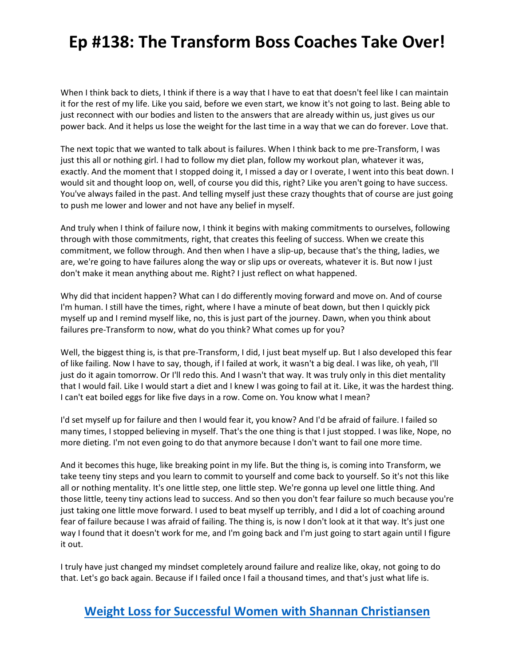When I think back to diets, I think if there is a way that I have to eat that doesn't feel like I can maintain it for the rest of my life. Like you said, before we even start, we know it's not going to last. Being able to just reconnect with our bodies and listen to the answers that are already within us, just gives us our power back. And it helps us lose the weight for the last time in a way that we can do forever. Love that.

The next topic that we wanted to talk about is failures. When I think back to me pre-Transform, I was just this all or nothing girl. I had to follow my diet plan, follow my workout plan, whatever it was, exactly. And the moment that I stopped doing it, I missed a day or I overate, I went into this beat down. I would sit and thought loop on, well, of course you did this, right? Like you aren't going to have success. You've always failed in the past. And telling myself just these crazy thoughts that of course are just going to push me lower and lower and not have any belief in myself.

And truly when I think of failure now, I think it begins with making commitments to ourselves, following through with those commitments, right, that creates this feeling of success. When we create this commitment, we follow through. And then when I have a slip-up, because that's the thing, ladies, we are, we're going to have failures along the way or slip ups or overeats, whatever it is. But now I just don't make it mean anything about me. Right? I just reflect on what happened.

Why did that incident happen? What can I do differently moving forward and move on. And of course I'm human. I still have the times, right, where I have a minute of beat down, but then I quickly pick myself up and I remind myself like, no, this is just part of the journey. Dawn, when you think about failures pre-Transform to now, what do you think? What comes up for you?

Well, the biggest thing is, is that pre-Transform, I did, I just beat myself up. But I also developed this fear of like failing. Now I have to say, though, if I failed at work, it wasn't a big deal. I was like, oh yeah, I'll just do it again tomorrow. Or I'll redo this. And I wasn't that way. It was truly only in this diet mentality that I would fail. Like I would start a diet and I knew I was going to fail at it. Like, it was the hardest thing. I can't eat boiled eggs for like five days in a row. Come on. You know what I mean?

I'd set myself up for failure and then I would fear it, you know? And I'd be afraid of failure. I failed so many times, I stopped believing in myself. That's the one thing is that I just stopped. I was like, Nope, no more dieting. I'm not even going to do that anymore because I don't want to fail one more time.

And it becomes this huge, like breaking point in my life. But the thing is, is coming into Transform, we take teeny tiny steps and you learn to commit to yourself and come back to yourself. So it's not this like all or nothing mentality. It's one little step, one little step. We're gonna up level one little thing. And those little, teeny tiny actions lead to success. And so then you don't fear failure so much because you're just taking one little move forward. I used to beat myself up terribly, and I did a lot of coaching around fear of failure because I was afraid of failing. The thing is, is now I don't look at it that way. It's just one way I found that it doesn't work for me, and I'm going back and I'm just going to start again until I figure it out.

I truly have just changed my mindset completely around failure and realize like, okay, not going to do that. Let's go back again. Because if I failed once I fail a thousand times, and that's just what life is.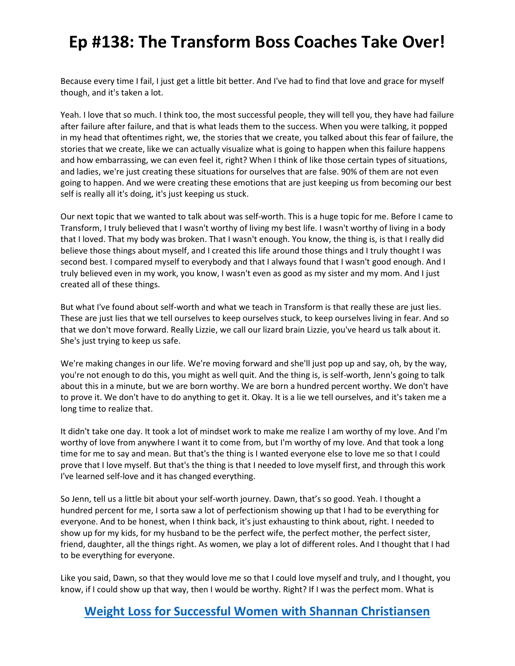Because every time I fail, I just get a little bit better. And I've had to find that love and grace for myself though, and it's taken a lot.

Yeah. I love that so much. I think too, the most successful people, they will tell you, they have had failure after failure after failure, and that is what leads them to the success. When you were talking, it popped in my head that oftentimes right, we, the stories that we create, you talked about this fear of failure, the stories that we create, like we can actually visualize what is going to happen when this failure happens and how embarrassing, we can even feel it, right? When I think of like those certain types of situations, and ladies, we're just creating these situations for ourselves that are false. 90% of them are not even going to happen. And we were creating these emotions that are just keeping us from becoming our best self is really all it's doing, it's just keeping us stuck.

Our next topic that we wanted to talk about was self-worth. This is a huge topic for me. Before I came to Transform, I truly believed that I wasn't worthy of living my best life. I wasn't worthy of living in a body that I loved. That my body was broken. That I wasn't enough. You know, the thing is, is that I really did believe those things about myself, and I created this life around those things and I truly thought I was second best. I compared myself to everybody and that I always found that I wasn't good enough. And I truly believed even in my work, you know, I wasn't even as good as my sister and my mom. And I just created all of these things.

But what I've found about self-worth and what we teach in Transform is that really these are just lies. These are just lies that we tell ourselves to keep ourselves stuck, to keep ourselves living in fear. And so that we don't move forward. Really Lizzie, we call our lizard brain Lizzie, you've heard us talk about it. She's just trying to keep us safe.

We're making changes in our life. We're moving forward and she'll just pop up and say, oh, by the way, you're not enough to do this, you might as well quit. And the thing is, is self-worth, Jenn's going to talk about this in a minute, but we are born worthy. We are born a hundred percent worthy. We don't have to prove it. We don't have to do anything to get it. Okay. It is a lie we tell ourselves, and it's taken me a long time to realize that.

It didn't take one day. It took a lot of mindset work to make me realize I am worthy of my love. And I'm worthy of love from anywhere I want it to come from, but I'm worthy of my love. And that took a long time for me to say and mean. But that's the thing is I wanted everyone else to love me so that I could prove that I love myself. But that's the thing is that I needed to love myself first, and through this work I've learned self-love and it has changed everything.

So Jenn, tell us a little bit about your self-worth journey. Dawn, that's so good. Yeah. I thought a hundred percent for me, I sorta saw a lot of perfectionism showing up that I had to be everything for everyone. And to be honest, when I think back, it's just exhausting to think about, right. I needed to show up for my kids, for my husband to be the perfect wife, the perfect mother, the perfect sister, friend, daughter, all the things right. As women, we play a lot of different roles. And I thought that I had to be everything for everyone.

Like you said, Dawn, so that they would love me so that I could love myself and truly, and I thought, you know, if I could show up that way, then I would be worthy. Right? If I was the perfect mom. What is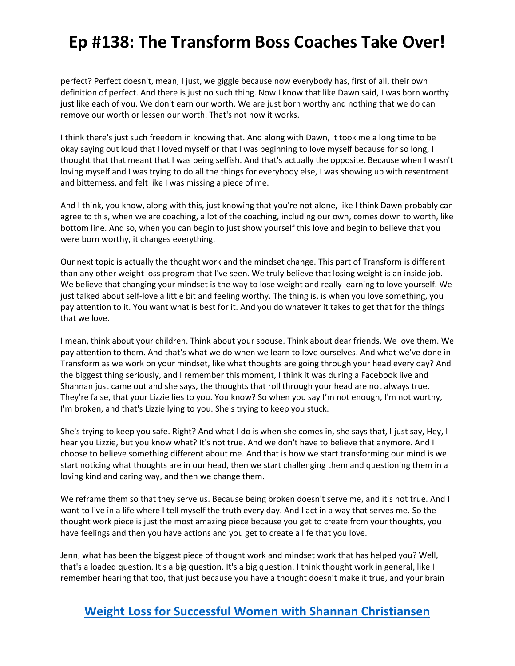perfect? Perfect doesn't, mean, I just, we giggle because now everybody has, first of all, their own definition of perfect. And there is just no such thing. Now I know that like Dawn said, I was born worthy just like each of you. We don't earn our worth. We are just born worthy and nothing that we do can remove our worth or lessen our worth. That's not how it works.

I think there's just such freedom in knowing that. And along with Dawn, it took me a long time to be okay saying out loud that I loved myself or that I was beginning to love myself because for so long, I thought that that meant that I was being selfish. And that's actually the opposite. Because when I wasn't loving myself and I was trying to do all the things for everybody else, I was showing up with resentment and bitterness, and felt like I was missing a piece of me.

And I think, you know, along with this, just knowing that you're not alone, like I think Dawn probably can agree to this, when we are coaching, a lot of the coaching, including our own, comes down to worth, like bottom line. And so, when you can begin to just show yourself this love and begin to believe that you were born worthy, it changes everything.

Our next topic is actually the thought work and the mindset change. This part of Transform is different than any other weight loss program that I've seen. We truly believe that losing weight is an inside job. We believe that changing your mindset is the way to lose weight and really learning to love yourself. We just talked about self-love a little bit and feeling worthy. The thing is, is when you love something, you pay attention to it. You want what is best for it. And you do whatever it takes to get that for the things that we love.

I mean, think about your children. Think about your spouse. Think about dear friends. We love them. We pay attention to them. And that's what we do when we learn to love ourselves. And what we've done in Transform as we work on your mindset, like what thoughts are going through your head every day? And the biggest thing seriously, and I remember this moment, I think it was during a Facebook live and Shannan just came out and she says, the thoughts that roll through your head are not always true. They're false, that your Lizzie lies to you. You know? So when you say I'm not enough, I'm not worthy, I'm broken, and that's Lizzie lying to you. She's trying to keep you stuck.

She's trying to keep you safe. Right? And what I do is when she comes in, she says that, I just say, Hey, I hear you Lizzie, but you know what? It's not true. And we don't have to believe that anymore. And I choose to believe something different about me. And that is how we start transforming our mind is we start noticing what thoughts are in our head, then we start challenging them and questioning them in a loving kind and caring way, and then we change them.

We reframe them so that they serve us. Because being broken doesn't serve me, and it's not true. And I want to live in a life where I tell myself the truth every day. And I act in a way that serves me. So the thought work piece is just the most amazing piece because you get to create from your thoughts, you have feelings and then you have actions and you get to create a life that you love.

Jenn, what has been the biggest piece of thought work and mindset work that has helped you? Well, that's a loaded question. It's a big question. It's a big question. I think thought work in general, like I remember hearing that too, that just because you have a thought doesn't make it true, and your brain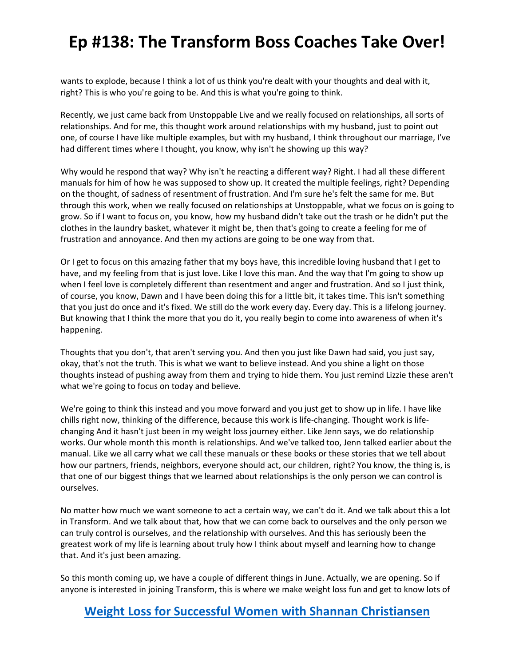wants to explode, because I think a lot of us think you're dealt with your thoughts and deal with it, right? This is who you're going to be. And this is what you're going to think.

Recently, we just came back from Unstoppable Live and we really focused on relationships, all sorts of relationships. And for me, this thought work around relationships with my husband, just to point out one, of course I have like multiple examples, but with my husband, I think throughout our marriage, I've had different times where I thought, you know, why isn't he showing up this way?

Why would he respond that way? Why isn't he reacting a different way? Right. I had all these different manuals for him of how he was supposed to show up. It created the multiple feelings, right? Depending on the thought, of sadness of resentment of frustration. And I'm sure he's felt the same for me. But through this work, when we really focused on relationships at Unstoppable, what we focus on is going to grow. So if I want to focus on, you know, how my husband didn't take out the trash or he didn't put the clothes in the laundry basket, whatever it might be, then that's going to create a feeling for me of frustration and annoyance. And then my actions are going to be one way from that.

Or I get to focus on this amazing father that my boys have, this incredible loving husband that I get to have, and my feeling from that is just love. Like I love this man. And the way that I'm going to show up when I feel love is completely different than resentment and anger and frustration. And so I just think, of course, you know, Dawn and I have been doing this for a little bit, it takes time. This isn't something that you just do once and it's fixed. We still do the work every day. Every day. This is a lifelong journey. But knowing that I think the more that you do it, you really begin to come into awareness of when it's happening.

Thoughts that you don't, that aren't serving you. And then you just like Dawn had said, you just say, okay, that's not the truth. This is what we want to believe instead. And you shine a light on those thoughts instead of pushing away from them and trying to hide them. You just remind Lizzie these aren't what we're going to focus on today and believe.

We're going to think this instead and you move forward and you just get to show up in life. I have like chills right now, thinking of the difference, because this work is life-changing. Thought work is lifechanging And it hasn't just been in my weight loss journey either. Like Jenn says, we do relationship works. Our whole month this month is relationships. And we've talked too, Jenn talked earlier about the manual. Like we all carry what we call these manuals or these books or these stories that we tell about how our partners, friends, neighbors, everyone should act, our children, right? You know, the thing is, is that one of our biggest things that we learned about relationships is the only person we can control is ourselves.

No matter how much we want someone to act a certain way, we can't do it. And we talk about this a lot in Transform. And we talk about that, how that we can come back to ourselves and the only person we can truly control is ourselves, and the relationship with ourselves. And this has seriously been the greatest work of my life is learning about truly how I think about myself and learning how to change that. And it's just been amazing.

So this month coming up, we have a couple of different things in June. Actually, we are opening. So if anyone is interested in joining Transform, this is where we make weight loss fun and get to know lots of